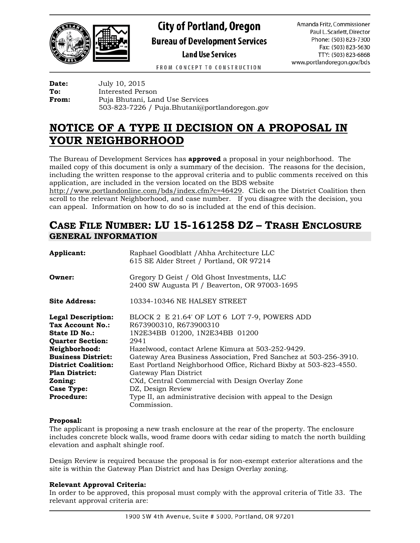

# **City of Portland, Oregon Bureau of Development Services**

**Land Use Services** 

Amanda Fritz, Commissioner Paul L. Scarlett, Director Phone: (503) 823-7300 Fax: (503) 823-5630 TTY: (503) 823-6868 www.portlandoregon.gov/bds

FROM CONCEPT TO CONSTRUCTION

**Date:** July 10, 2015<br> **To:** Interested Pers **To:** Interested Person **From:** Puja Bhutani, Land Use Services 503-823-7226 / Puja.Bhutani@portlandoregon.gov

## **NOTICE OF A TYPE II DECISION ON A PROPOSAL IN YOUR NEIGHBORHOOD**

The Bureau of Development Services has **approved** a proposal in your neighborhood. The mailed copy of this document is only a summary of the decision. The reasons for the decision, including the written response to the approval criteria and to public comments received on this application, are included in the version located on the BDS website

[http://www.portlandonline.com/bds/index.cfm?c=46429.](http://www.portlandonline.com/bds/index.cfm?c=46429) Click on the District Coalition then scroll to the relevant Neighborhood, and case number. If you disagree with the decision, you can appeal. Information on how to do so is included at the end of this decision.

## **CASE FILE NUMBER: LU 15-161258 DZ – TRASH ENCLOSURE GENERAL INFORMATION**

| Applicant:                 | Raphael Goodblatt / Ahha Architecture LLC                         |  |  |
|----------------------------|-------------------------------------------------------------------|--|--|
|                            | 615 SE Alder Street / Portland, OR 97214                          |  |  |
| Owner:                     | Gregory D Geist / Old Ghost Investments, LLC                      |  |  |
|                            | 2400 SW Augusta Pl / Beaverton, OR 97003-1695                     |  |  |
| Site Address:              | 10334-10346 NE HALSEY STREET                                      |  |  |
| <b>Legal Description:</b>  | BLOCK 2 E 21.64' OF LOT 6 LOT 7-9, POWERS ADD                     |  |  |
| Tax Account No.:           | R673900310, R673900310                                            |  |  |
| State ID No.:              | 1N2E34BB 01200, 1N2E34BB 01200                                    |  |  |
| <b>Quarter Section:</b>    | 2941                                                              |  |  |
| Neighborhood:              | Hazelwood, contact Arlene Kimura at 503-252-9429.                 |  |  |
| <b>Business District:</b>  | Gateway Area Business Association, Fred Sanchez at 503-256-3910.  |  |  |
| <b>District Coalition:</b> | East Portland Neighborhood Office, Richard Bixby at 503-823-4550. |  |  |
| <b>Plan District:</b>      | Gateway Plan District                                             |  |  |
| Zoning:                    | CXd, Central Commercial with Design Overlay Zone                  |  |  |
| <b>Case Type:</b>          | DZ, Design Review                                                 |  |  |
| <b>Procedure:</b>          | Type II, an administrative decision with appeal to the Design     |  |  |
|                            | Commission.                                                       |  |  |

#### **Proposal:**

The applicant is proposing a new trash enclosure at the rear of the property. The enclosure includes concrete block walls, wood frame doors with cedar siding to match the north building elevation and asphalt shingle roof.

Design Review is required because the proposal is for non-exempt exterior alterations and the site is within the Gateway Plan District and has Design Overlay zoning.

### **Relevant Approval Criteria:**

In order to be approved, this proposal must comply with the approval criteria of Title 33. The relevant approval criteria are: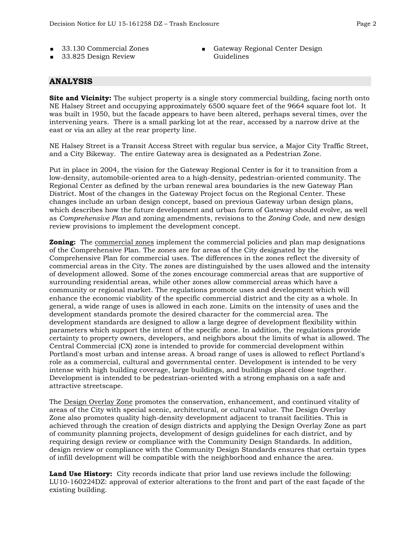- 33.130 Commercial Zones
- 33.825 Design Review

Gateway Regional Center Design Guidelines

#### **ANALYSIS**

**Site and Vicinity:** The subject property is a single story commercial building, facing north onto NE Halsey Street and occupying approximately 6500 square feet of the 9664 square foot lot. It was built in 1950, but the facade appears to have been altered, perhaps several times, over the intervening years. There is a small parking lot at the rear, accessed by a narrow drive at the east or via an alley at the rear property line.

NE Halsey Street is a Transit Access Street with regular bus service, a Major City Traffic Street, and a City Bikeway. The entire Gateway area is designated as a Pedestrian Zone.

Put in place in 2004, the vision for the Gateway Regional Center is for it to transition from a low-density, automobile-oriented area to a high-density, pedestrian-oriented community. The Regional Center as defined by the urban renewal area boundaries is the new Gateway Plan District. Most of the changes in the Gateway Project focus on the Regional Center. These changes include an urban design concept, based on previous Gateway urban design plans, which describes how the future development and urban form of Gateway should evolve, as well as *Comprehensive Plan* and zoning amendments, revisions to the *Zoning Code*, and new design review provisions to implement the development concept.

**Zoning:** The commercial zones implement the commercial policies and plan map designations of the Comprehensive Plan. The zones are for areas of the City designated by the Comprehensive Plan for commercial uses. The differences in the zones reflect the diversity of commercial areas in the City. The zones are distinguished by the uses allowed and the intensity of development allowed. Some of the zones encourage commercial areas that are supportive of surrounding residential areas, while other zones allow commercial areas which have a community or regional market. The regulations promote uses and development which will enhance the economic viability of the specific commercial district and the city as a whole. In general, a wide range of uses is allowed in each zone. Limits on the intensity of uses and the development standards promote the desired character for the commercial area. The development standards are designed to allow a large degree of development flexibility within parameters which support the intent of the specific zone. In addition, the regulations provide certainty to property owners, developers, and neighbors about the limits of what is allowed. The Central Commercial (CX) zone is intended to provide for commercial development within Portland's most urban and intense areas. A broad range of uses is allowed to reflect Portland's role as a commercial, cultural and governmental center. Development is intended to be very intense with high building coverage, large buildings, and buildings placed close together. Development is intended to be pedestrian-oriented with a strong emphasis on a safe and attractive streetscape.

The Design Overlay Zone promotes the conservation, enhancement, and continued vitality of areas of the City with special scenic, architectural, or cultural value. The Design Overlay Zone also promotes quality high-density development adjacent to transit facilities. This is achieved through the creation of design districts and applying the Design Overlay Zone as part of community planning projects, development of design guidelines for each district, and by requiring design review or compliance with the Community Design Standards. In addition, design review or compliance with the Community Design Standards ensures that certain types of infill development will be compatible with the neighborhood and enhance the area.

**Land Use History:** City records indicate that prior land use reviews include the following: LU10-160224DZ: approval of exterior alterations to the front and part of the east façade of the existing building.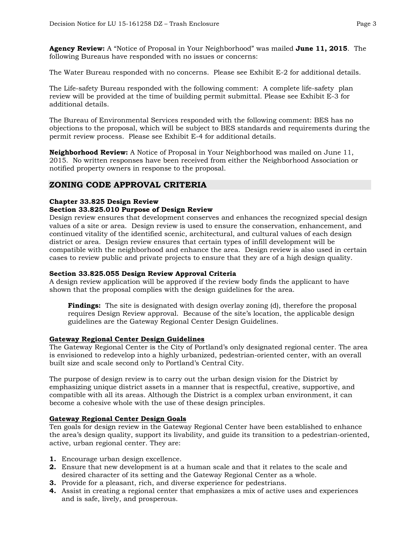**Agency Review:** A "Notice of Proposal in Your Neighborhood" was mailed **June 11, 2015**. The following Bureaus have responded with no issues or concerns:

The Water Bureau responded with no concerns. Please see Exhibit E-2 for additional details.

The Life-safety Bureau responded with the following comment: A complete life-safety plan review will be provided at the time of building permit submittal. Please see Exhibit E-3 for additional details.

The Bureau of Environmental Services responded with the following comment: BES has no objections to the proposal, which will be subject to BES standards and requirements during the permit review process. Please see Exhibit E-4 for additional details.

**Neighborhood Review:** A Notice of Proposal in Your Neighborhood was mailed on June 11, 2015. No written responses have been received from either the Neighborhood Association or notified property owners in response to the proposal.

#### **ZONING CODE APPROVAL CRITERIA**

#### **Chapter 33.825 Design Review Section 33.825.010 Purpose of Design Review**

Design review ensures that development conserves and enhances the recognized special design values of a site or area. Design review is used to ensure the conservation, enhancement, and continued vitality of the identified scenic, architectural, and cultural values of each design district or area. Design review ensures that certain types of infill development will be compatible with the neighborhood and enhance the area. Design review is also used in certain cases to review public and private projects to ensure that they are of a high design quality.

#### **Section 33.825.055 Design Review Approval Criteria**

A design review application will be approved if the review body finds the applicant to have shown that the proposal complies with the design guidelines for the area.

**Findings:** The site is designated with design overlay zoning (d), therefore the proposal requires Design Review approval. Because of the site's location, the applicable design guidelines are the Gateway Regional Center Design Guidelines.

#### **Gateway Regional Center Design Guidelines**

The Gateway Regional Center is the City of Portland's only designated regional center. The area is envisioned to redevelop into a highly urbanized, pedestrian-oriented center, with an overall built size and scale second only to Portland's Central City.

The purpose of design review is to carry out the urban design vision for the District by emphasizing unique district assets in a manner that is respectful, creative, supportive, and compatible with all its areas. Although the District is a complex urban environment, it can become a cohesive whole with the use of these design principles.

#### **Gateway Regional Center Design Goals**

Ten goals for design review in the Gateway Regional Center have been established to enhance the area's design quality, support its livability, and guide its transition to a pedestrian-oriented, active, urban regional center. They are:

- **1.** Encourage urban design excellence.
- **2.** Ensure that new development is at a human scale and that it relates to the scale and desired character of its setting and the Gateway Regional Center as a whole.
- **3.** Provide for a pleasant, rich, and diverse experience for pedestrians.
- **4.** Assist in creating a regional center that emphasizes a mix of active uses and experiences and is safe, lively, and prosperous.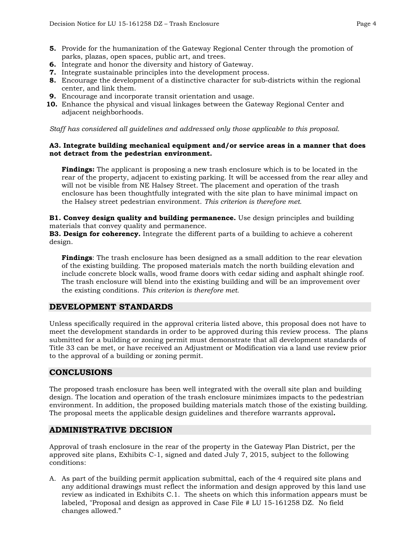- 
- **5.** Provide for the humanization of the Gateway Regional Center through the promotion of parks, plazas, open spaces, public art, and trees.
- **6.** Integrate and honor the diversity and history of Gateway.
- **7.** Integrate sustainable principles into the development process.
- **8.** Encourage the development of a distinctive character for sub-districts within the regional center, and link them.
- **9.** Encourage and incorporate transit orientation and usage.
- **10.** Enhance the physical and visual linkages between the Gateway Regional Center and adjacent neighborhoods.

*Staff has considered all guidelines and addressed only those applicable to this proposal.*

#### **A3. Integrate building mechanical equipment and/or service areas in a manner that does not detract from the pedestrian environment.**

**Findings:** The applicant is proposing a new trash enclosure which is to be located in the rear of the property, adjacent to existing parking. It will be accessed from the rear alley and will not be visible from NE Halsey Street. The placement and operation of the trash enclosure has been thoughtfully integrated with the site plan to have minimal impact on the Halsey street pedestrian environment. *This criterion is therefore met.*

**B1. Convey design quality and building permanence.** Use design principles and building materials that convey quality and permanence.

**B3. Design for coherency.** Integrate the different parts of a building to achieve a coherent design.

**Findings**: The trash enclosure has been designed as a small addition to the rear elevation of the existing building. The proposed materials match the north building elevation and include concrete block walls, wood frame doors with cedar siding and asphalt shingle roof. The trash enclosure will blend into the existing building and will be an improvement over the existing conditions. *This criterion is therefore met.*

#### **DEVELOPMENT STANDARDS**

Unless specifically required in the approval criteria listed above, this proposal does not have to meet the development standards in order to be approved during this review process. The plans submitted for a building or zoning permit must demonstrate that all development standards of Title 33 can be met, or have received an Adjustment or Modification via a land use review prior to the approval of a building or zoning permit.

#### **CONCLUSIONS**

The proposed trash enclosure has been well integrated with the overall site plan and building design. The location and operation of the trash enclosure minimizes impacts to the pedestrian environment. In addition, the proposed building materials match those of the existing building. The proposal meets the applicable design guidelines and therefore warrants approval**.**

### **ADMINISTRATIVE DECISION**

Approval of trash enclosure in the rear of the property in the Gateway Plan District, per the approved site plans, Exhibits C-1, signed and dated July 7, 2015, subject to the following conditions:

A. As part of the building permit application submittal, each of the 4 required site plans and any additional drawings must reflect the information and design approved by this land use review as indicated in Exhibits C.1. The sheets on which this information appears must be labeled, "Proposal and design as approved in Case File # LU 15-161258 DZ. No field changes allowed."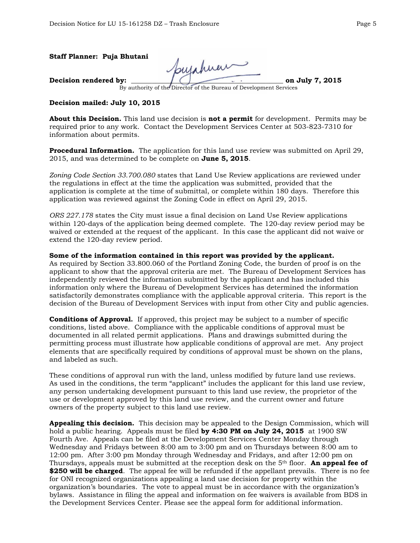| Staff Planner: Puja Bhutani | Soujahuar                                                          |                 |
|-----------------------------|--------------------------------------------------------------------|-----------------|
| Decision rendered by:       | By authority of the Director of the Bureau of Development Services | on July 7, 2015 |
|                             |                                                                    |                 |

**Decision mailed: July 10, 2015**

**About this Decision.** This land use decision is **not a permit** for development. Permits may be required prior to any work. Contact the Development Services Center at 503-823-7310 for information about permits.

**Procedural Information.** The application for this land use review was submitted on April 29, 2015, and was determined to be complete on **June 5, 2015**.

*Zoning Code Section 33.700.080* states that Land Use Review applications are reviewed under the regulations in effect at the time the application was submitted, provided that the application is complete at the time of submittal, or complete within 180 days. Therefore this application was reviewed against the Zoning Code in effect on April 29, 2015.

*ORS 227.178* states the City must issue a final decision on Land Use Review applications within 120-days of the application being deemed complete. The 120-day review period may be waived or extended at the request of the applicant. In this case the applicant did not waive or extend the 120-day review period.

**Some of the information contained in this report was provided by the applicant.**

As required by Section 33.800.060 of the Portland Zoning Code, the burden of proof is on the applicant to show that the approval criteria are met. The Bureau of Development Services has independently reviewed the information submitted by the applicant and has included this information only where the Bureau of Development Services has determined the information satisfactorily demonstrates compliance with the applicable approval criteria. This report is the decision of the Bureau of Development Services with input from other City and public agencies.

**Conditions of Approval.** If approved, this project may be subject to a number of specific conditions, listed above. Compliance with the applicable conditions of approval must be documented in all related permit applications. Plans and drawings submitted during the permitting process must illustrate how applicable conditions of approval are met. Any project elements that are specifically required by conditions of approval must be shown on the plans, and labeled as such.

These conditions of approval run with the land, unless modified by future land use reviews. As used in the conditions, the term "applicant" includes the applicant for this land use review, any person undertaking development pursuant to this land use review, the proprietor of the use or development approved by this land use review, and the current owner and future owners of the property subject to this land use review.

**Appealing this decision.** This decision may be appealed to the Design Commission, which will hold a public hearing. Appeals must be filed **by 4:30 PM on July 24, 2015** at 1900 SW Fourth Ave. Appeals can be filed at the Development Services Center Monday through Wednesday and Fridays between 8:00 am to 3:00 pm and on Thursdays between 8:00 am to 12:00 pm. After 3:00 pm Monday through Wednesday and Fridays, and after 12:00 pm on Thursdays, appeals must be submitted at the reception desk on the 5th floor. **An appeal fee of \$250 will be charged**. The appeal fee will be refunded if the appellant prevails. There is no fee for ONI recognized organizations appealing a land use decision for property within the organization's boundaries. The vote to appeal must be in accordance with the organization's bylaws. Assistance in filing the appeal and information on fee waivers is available from BDS in the Development Services Center. Please see the appeal form for additional information.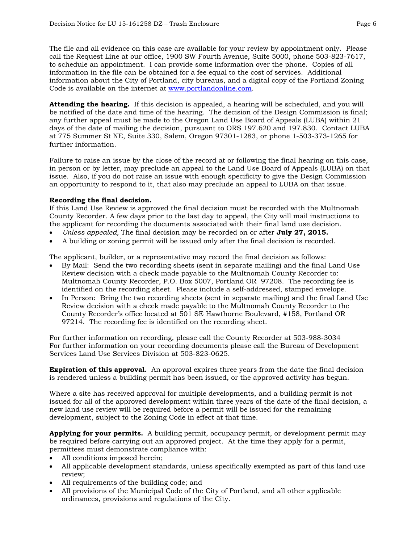The file and all evidence on this case are available for your review by appointment only. Please call the Request Line at our office, 1900 SW Fourth Avenue, Suite 5000, phone 503-823-7617, to schedule an appointment. I can provide some information over the phone. Copies of all information in the file can be obtained for a fee equal to the cost of services. Additional information about the City of Portland, city bureaus, and a digital copy of the Portland Zoning Code is available on the internet at [www.portlandonline.com.](http://www.ci.portland.or.us/)

**Attending the hearing.** If this decision is appealed, a hearing will be scheduled, and you will be notified of the date and time of the hearing. The decision of the Design Commission is final; any further appeal must be made to the Oregon Land Use Board of Appeals (LUBA) within 21 days of the date of mailing the decision, pursuant to ORS 197.620 and 197.830. Contact LUBA at 775 Summer St NE, Suite 330, Salem, Oregon 97301-1283, or phone 1-503-373-1265 for further information.

Failure to raise an issue by the close of the record at or following the final hearing on this case, in person or by letter, may preclude an appeal to the Land Use Board of Appeals (LUBA) on that issue. Also, if you do not raise an issue with enough specificity to give the Design Commission an opportunity to respond to it, that also may preclude an appeal to LUBA on that issue.

#### **Recording the final decision.**

If this Land Use Review is approved the final decision must be recorded with the Multnomah County Recorder. A few days prior to the last day to appeal, the City will mail instructions to the applicant for recording the documents associated with their final land use decision.

- *Unless appealed,* The final decision may be recorded on or after **July 27, 2015.**
- A building or zoning permit will be issued only after the final decision is recorded.

The applicant, builder, or a representative may record the final decision as follows:

- By Mail: Send the two recording sheets (sent in separate mailing) and the final Land Use Review decision with a check made payable to the Multnomah County Recorder to: Multnomah County Recorder, P.O. Box 5007, Portland OR 97208. The recording fee is identified on the recording sheet. Please include a self-addressed, stamped envelope.
- In Person: Bring the two recording sheets (sent in separate mailing) and the final Land Use Review decision with a check made payable to the Multnomah County Recorder to the County Recorder's office located at 501 SE Hawthorne Boulevard, #158, Portland OR 97214. The recording fee is identified on the recording sheet.

For further information on recording, please call the County Recorder at 503-988-3034 For further information on your recording documents please call the Bureau of Development Services Land Use Services Division at 503-823-0625.

**Expiration of this approval.** An approval expires three years from the date the final decision is rendered unless a building permit has been issued, or the approved activity has begun.

Where a site has received approval for multiple developments, and a building permit is not issued for all of the approved development within three years of the date of the final decision, a new land use review will be required before a permit will be issued for the remaining development, subject to the Zoning Code in effect at that time.

**Applying for your permits.** A building permit, occupancy permit, or development permit may be required before carrying out an approved project. At the time they apply for a permit, permittees must demonstrate compliance with:

- All conditions imposed herein;
- All applicable development standards, unless specifically exempted as part of this land use review;
- All requirements of the building code; and
- All provisions of the Municipal Code of the City of Portland, and all other applicable ordinances, provisions and regulations of the City.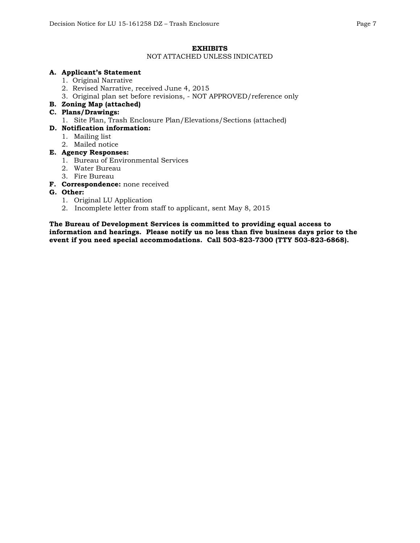#### **EXHIBITS**

#### NOT ATTACHED UNLESS INDICATED

#### **A. Applicant's Statement**

- 1. Original Narrative
- 2. Revised Narrative, received June 4, 2015
- 3. Original plan set before revisions, NOT APPROVED/reference only

#### **B. Zoning Map (attached)**

#### **C. Plans/Drawings:**

1. Site Plan, Trash Enclosure Plan/Elevations/Sections (attached)

#### **D. Notification information:**

- 1. Mailing list
- 2. Mailed notice

#### **E. Agency Responses:**

- 1. Bureau of Environmental Services
- 2. Water Bureau
- 3. Fire Bureau
- **F. Correspondence:** none received

#### **G. Other:**

- 1. Original LU Application
- 2. Incomplete letter from staff to applicant, sent May 8, 2015

**The Bureau of Development Services is committed to providing equal access to information and hearings. Please notify us no less than five business days prior to the event if you need special accommodations. Call 503-823-7300 (TTY 503-823-6868).**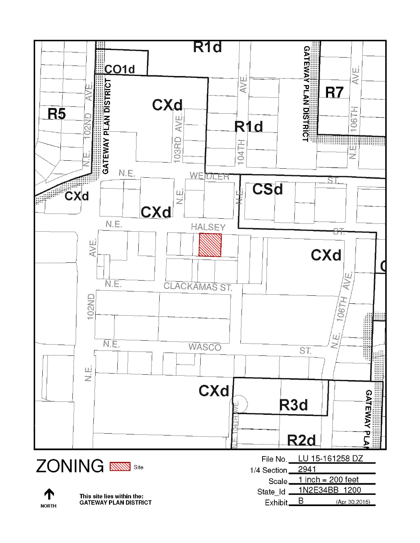